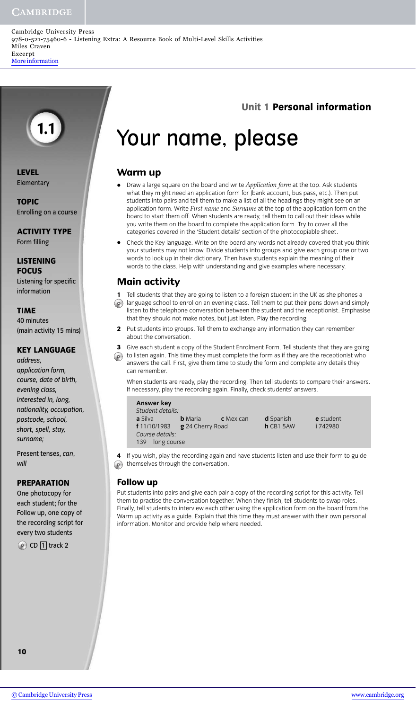## **CAMBRIDGE**

Cambridge University Press 978-0-521-75460-6 - Listening Extra: A Resource Book of Multi-Level Skills Activities Miles Craven Excerpt [More information](http://www.cambridge.org/0521754607)

# **Unit 1 Personal information**

# Your name, please

## **Warm up**

- **•** Draw a large square on the board and write *Application form* at the top. Ask students what they might need an application form for (bank account, bus pass, etc.). Then put students into pairs and tell them to make a list of all the headings they might see on an application form. Write *First name* and *Surname* at the top of the application form on the board to start them off. When students are ready, tell them to call out their ideas while you write them on the board to complete the application form. Try to cover all the categories covered in the 'Student details' section of the photocopiable sheet.
- **•** Check the Key language. Write on the board any words not already covered that you think your students may not know. Divide students into groups and give each group one or two words to look up in their dictionary. Then have students explain the meaning of their words to the class. Help with understanding and give examples where necessary.

## **Main activity**

- **1** Tell students that they are going to listen to a foreign student in the UK as she phones a language school to enrol on an evening class. Tell them to put their pens down and simply  $\circledcirc$ listen to the telephone conversation between the student and the receptionist. Emphasise that they should not make notes, but just listen. Play the recording.
- **2** Put students into groups. Tell them to exchange any information they can remember about the conversation.
- **3** Give each student a copy of the Student Enrolment Form. Tell students that they are going  $\circledcirc$  to listen again. This time they must complete the form as if they are the receptionist who answers the call. First, give them time to study the form and complete any details they can remember.

When students are ready, play the recording. Then tell students to compare their answers. If necessary, play the recording again. Finally, check students' answers.

| <b>Answer key</b><br>Student details:       |                |                  |                  |           |
|---------------------------------------------|----------------|------------------|------------------|-----------|
| <b>a</b> Silva                              | <b>b</b> Maria | <b>c</b> Mexican | <b>d</b> Spanish | e student |
| <b>f</b> 11/10/1983 <b>g</b> 24 Cherry Road |                |                  | $h$ CB1 5AW      | i 742980  |
| Course details:                             |                |                  |                  |           |
| long course<br>139                          |                |                  |                  |           |

**4** If you wish, play the recording again and have students listen and use their form to guide  $\circledcirc$  themselves through the conversation.

## **Follow up**

Put students into pairs and give each pair a copy of the recording script for this activity. Tell them to practise the conversation together. When they finish, tell students to swap roles. Finally, tell students to interview each other using the application form on the board from the Warm up activity as a guide. Explain that this time they must answer with their own personal information. Monitor and provide help where needed.

**LEVEL Elementary** 

**TOPIC** Enrolling on a course

**1.1**

**ACTIVITY TYPE** Form filling

**LISTENING** 

**FOCUS** Listening for specific information

### **TIME**

40 minutes (main activity 15 mins)

## **KEY LANGUAGE**

*address, application form, course, date of birth, evening class, interested in, long, nationality, occupation, postcode, school, short, spell, stay, surname;* 

Present tenses, *can*, *will*

### **PREPARATION**

One photocopy for each student; for the Follow up, one copy of the recording script for every two students

 $\circledcirc$  CD  $\overline{1}$  track 2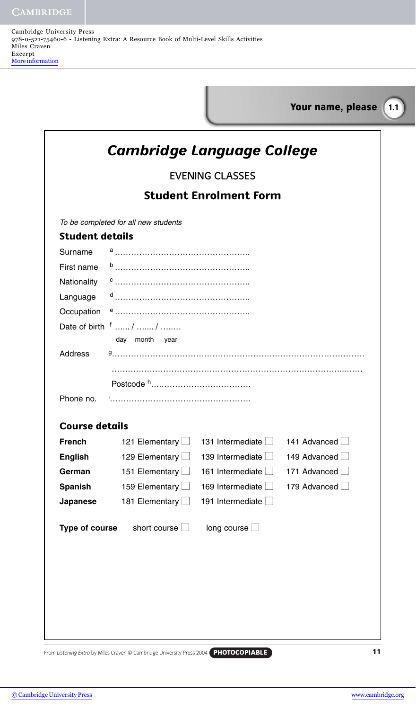| <b>EVENING CLASSES</b><br><b>Student Enrolment Form</b><br>To be completed for all new students<br><b>Student details</b><br>Date of birth $\frac{1}{2}$ /  /<br>day month<br>year<br>Address<br>Τ.<br>Phone no.<br><b>Course details</b><br>141 Advanced<br>121 Elementary L<br>131 Intermediate $\Box$<br><b>French</b><br>129 Elementary $\Box$<br>139 Intermediate $\Box$<br>149 Advanced<br><b>English</b><br>151 Elementary $\Box$<br>161 Intermediate $\Box$<br>171 Advanced<br>German<br>159 Elementary L<br>169 Intermediate<br>179 Advanced<br><b>Spanish</b><br>181 Elementary<br>191 Intermediate $\square$<br>Japanese<br>short course $\Box$<br>long course $\Box$<br><b>Type of course</b> | <b>Cambridge Language College</b> |  |
|-----------------------------------------------------------------------------------------------------------------------------------------------------------------------------------------------------------------------------------------------------------------------------------------------------------------------------------------------------------------------------------------------------------------------------------------------------------------------------------------------------------------------------------------------------------------------------------------------------------------------------------------------------------------------------------------------------------|-----------------------------------|--|
|                                                                                                                                                                                                                                                                                                                                                                                                                                                                                                                                                                                                                                                                                                           |                                   |  |
|                                                                                                                                                                                                                                                                                                                                                                                                                                                                                                                                                                                                                                                                                                           |                                   |  |
|                                                                                                                                                                                                                                                                                                                                                                                                                                                                                                                                                                                                                                                                                                           |                                   |  |
|                                                                                                                                                                                                                                                                                                                                                                                                                                                                                                                                                                                                                                                                                                           |                                   |  |
|                                                                                                                                                                                                                                                                                                                                                                                                                                                                                                                                                                                                                                                                                                           |                                   |  |
|                                                                                                                                                                                                                                                                                                                                                                                                                                                                                                                                                                                                                                                                                                           |                                   |  |
|                                                                                                                                                                                                                                                                                                                                                                                                                                                                                                                                                                                                                                                                                                           |                                   |  |
|                                                                                                                                                                                                                                                                                                                                                                                                                                                                                                                                                                                                                                                                                                           |                                   |  |
|                                                                                                                                                                                                                                                                                                                                                                                                                                                                                                                                                                                                                                                                                                           |                                   |  |
|                                                                                                                                                                                                                                                                                                                                                                                                                                                                                                                                                                                                                                                                                                           |                                   |  |
|                                                                                                                                                                                                                                                                                                                                                                                                                                                                                                                                                                                                                                                                                                           |                                   |  |
|                                                                                                                                                                                                                                                                                                                                                                                                                                                                                                                                                                                                                                                                                                           |                                   |  |
|                                                                                                                                                                                                                                                                                                                                                                                                                                                                                                                                                                                                                                                                                                           |                                   |  |
|                                                                                                                                                                                                                                                                                                                                                                                                                                                                                                                                                                                                                                                                                                           |                                   |  |
|                                                                                                                                                                                                                                                                                                                                                                                                                                                                                                                                                                                                                                                                                                           |                                   |  |
|                                                                                                                                                                                                                                                                                                                                                                                                                                                                                                                                                                                                                                                                                                           |                                   |  |
|                                                                                                                                                                                                                                                                                                                                                                                                                                                                                                                                                                                                                                                                                                           |                                   |  |
|                                                                                                                                                                                                                                                                                                                                                                                                                                                                                                                                                                                                                                                                                                           |                                   |  |
|                                                                                                                                                                                                                                                                                                                                                                                                                                                                                                                                                                                                                                                                                                           |                                   |  |
|                                                                                                                                                                                                                                                                                                                                                                                                                                                                                                                                                                                                                                                                                                           |                                   |  |
|                                                                                                                                                                                                                                                                                                                                                                                                                                                                                                                                                                                                                                                                                                           |                                   |  |
|                                                                                                                                                                                                                                                                                                                                                                                                                                                                                                                                                                                                                                                                                                           |                                   |  |
|                                                                                                                                                                                                                                                                                                                                                                                                                                                                                                                                                                                                                                                                                                           |                                   |  |
|                                                                                                                                                                                                                                                                                                                                                                                                                                                                                                                                                                                                                                                                                                           |                                   |  |
|                                                                                                                                                                                                                                                                                                                                                                                                                                                                                                                                                                                                                                                                                                           |                                   |  |

п

From Listening Extra by Miles Craven © Cambridge University Press 2004 **PHOTOCOPIABLE**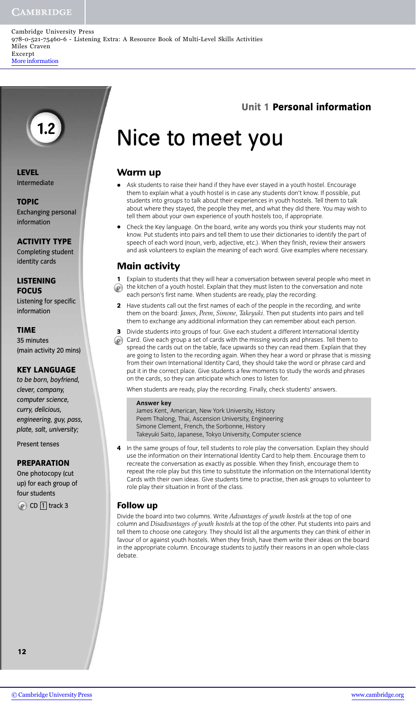## **CAMBRIDGE**

## **Unit 1 Personal information**

# Nice to meet you

## **Warm up**

- **•** Ask students to raise their hand if they have ever stayed in a youth hostel. Encourage them to explain what a youth hostel is in case any students don't know. If possible, put students into groups to talk about their experiences in youth hostels. Tell them to talk about where they stayed, the people they met, and what they did there. You may wish to tell them about your own experience of youth hostels too, if appropriate.
- **•** Check the Key language. On the board, write any words you think your students may not know. Put students into pairs and tell them to use their dictionaries to identify the part of speech of each word (noun, verb, adjective, etc.). When they finish, review their answers and ask volunteers to explain the meaning of each word. Give examples where necessary.

## **Main activity**

- **1** Explain to students that they will hear a conversation between several people who meet in  $\circledcirc$  the kitchen of a youth hostel. Explain that they must listen to the conversation and note each person's first name. When students are ready, play the recording.
- **2** Have students call out the first names of each of the people in the recording, and write them on the board: *James*, *Peem*, *Simone*, *Takeyuki*. Then put students into pairs and tell them to exchange any additional information they can remember about each person.
- **3** Divide students into groups of four. Give each student a different International Identity  $\odot$  Card. Give each group a set of cards with the missing words and phrases. Tell them to spread the cards out on the table, face upwards so they can read them. Explain that they are going to listen to the recording again. When they hear a word or phrase that is missing from their own International Identity Card, they should take the word or phrase card and put it in the correct place. Give students a few moments to study the words and phrases

When students are ready, play the recording. Finally, check students' answers.

#### **Answer key**

James Kent, American, New York University, History Peem Thalong, Thai, Ascension University, Engineering Simone Clement, French, the Sorbonne, History Takeyuki Saito, Japanese, Tokyo University, Computer science

on the cards, so they can anticipate which ones to listen for.

**4** In the same groups of four, tell students to role play the conversation. Explain they should use the information on their International Identity Card to help them. Encourage them to recreate the conversation as exactly as possible. When they finish, encourage them to repeat the role play but this time to substitute the information on the International Identity Cards with their own ideas. Give students time to practise, then ask groups to volunteer to role play their situation in front of the class.

#### **Follow up**

Divide the board into two columns. Write *Advantages of youth hostels* at the top of one column and *Disadvantages of youth hostels* at the top of the other. Put students into pairs and tell them to choose one category. They should list all the arguments they can think of either in favour of or against youth hostels. When they finish, have them write their ideas on the board in the appropriate column. Encourage students to justify their reasons in an open whole-class debate.

#### **LEVEL** Intermediate

## **TOPIC** Exchanging personal

**1.2**

information

### **ACTIVITY TYPE**

Completing student identity cards

## **LISTENING**

**FOCUS** Listening for specific information

### **TIME**

35 minutes (main activity 20 mins)

### **KEY LANGUAGE**

*to be born, boyfriend, clever, company, computer science, curry, delicious, engineering, guy, pass, plate, salt, university;* 

Present tenses

### **PREPARATION**

One photocopy (cut up) for each group of four students

 $\circledcirc$  CD  $\boxed{1}$  track 3